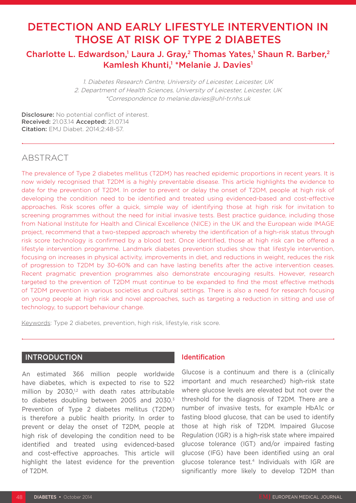# DETECTION AND EARLY LIFESTYLE INTERVENTION IN THOSE AT RISK OF TYPE 2 DIABETES

## Charlotte L. Edwardson,<sup>1</sup> Laura J. Gray,<sup>2</sup> Thomas Yates,<sup>1</sup> Shaun R. Barber,<sup>2</sup> Kamlesh Khunti,<sup>1</sup> \*Melanie J. Davies<sup>1</sup>

1. Diabetes Research Centre, University of Leicester, Leicester, UK 2. Department of Health Sciences, University of Leicester, Leicester, UK \*Correspondence to melanie.davies@uhl-tr.nhs.uk

Disclosure: No potential conflict of interest. Received: 21.03.14 Accepted: 21.07.14 Citation: EMJ Diabet. 2014;2:48-57.

## ABSTRACT

The prevalence of Type 2 diabetes mellitus (T2DM) has reached epidemic proportions in recent years. It is now widely recognised that T2DM is a highly preventable disease. This article highlights the evidence to date for the prevention of T2DM. In order to prevent or delay the onset of T2DM, people at high risk of developing the condition need to be identified and treated using evidenced-based and cost-effective approaches. Risk scores offer a quick, simple way of identifying those at high risk for invitation to screening programmes without the need for initial invasive tests. Best practice guidance, including those from National Institute for Health and Clinical Excellence (NICE) in the UK and the European wide IMAGE project, recommend that a two-stepped approach whereby the identification of a high-risk status through risk score technology is confirmed by a blood test. Once identified, those at high risk can be offered a lifestyle intervention programme. Landmark diabetes prevention studies show that lifestyle intervention, focusing on increases in physical activity, improvements in diet, and reductions in weight, reduces the risk of progression to T2DM by 30-60% and can have lasting benefits after the active intervention ceases. Recent pragmatic prevention programmes also demonstrate encouraging results. However, research targeted to the prevention of T2DM must continue to be expanded to find the most effective methods of T2DM prevention in various societies and cultural settings. There is also a need for research focusing on young people at high risk and novel approaches, such as targeting a reduction in sitting and use of technology, to support behaviour change.

Keywords: Type 2 diabetes, prevention, high risk, lifestyle, risk score.

### INTRODUCTION

An estimated 366 million people worldwide have diabetes, which is expected to rise to 522 million by  $2030$ ,<sup>1,2</sup> with death rates attributable to diabetes doubling between 2005 and 2030.3 Prevention of Type 2 diabetes mellitus (T2DM) is therefore a public health priority. In order to prevent or delay the onset of T2DM, people at high risk of developing the condition need to be identified and treated using evidenced-based and cost-effective approaches. This article will highlight the latest evidence for the prevention of T2DM.

#### Identification

Glucose is a continuum and there is a (clinically important and much researched) high-risk state where glucose levels are elevated but not over the threshold for the diagnosis of T2DM. There are a number of invasive tests, for example HbA1c or fasting blood glucose, that can be used to identify those at high risk of T2DM. Impaired Glucose Regulation (IGR) is a high-risk state where impaired glucose tolerance (IGT) and/or impaired fasting glucose (IFG) have been identified using an oral glucose tolerance test.4 Individuals with IGR are significantly more likely to develop T2DM than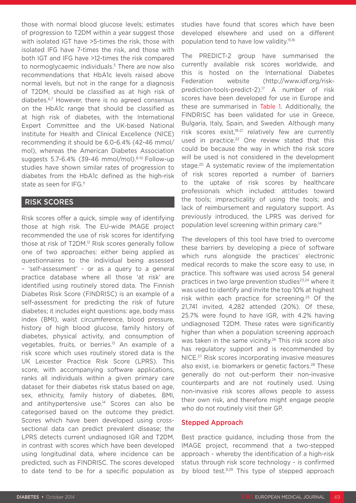those with normal blood glucose levels; estimates of progression to T2DM within a year suggest those with isolated IGT have >5-times the risk, those with isolated IFG have 7-times the risk, and those with both IGT and IFG have >12-times the risk compared to normoglycaemic individuals.5 There are now also recommendations that HbA1c levels raised above normal levels, but not in the range for a diagnosis of T2DM, should be classified as at high risk of diabetes.6,7 However, there is no agreed consensus on the HbA1c range that should be classified as at high risk of diabetes, with the International Expert Committee and the UK-based National Institute for Health and Clinical Excellence (NICE) recommending it should be 6.0-6.4% (42-46 mmol/ mol), whereas the American Diabetes Association suggests  $5.7-6.4\%$  (39-46 mmol/mol).<sup>8-10</sup> Follow-up studies have shown similar rates of progression to diabetes from the HbA1c defined as the high-risk state as seen for IFG.<sup>11</sup>

## RISK SCORES

Risk scores offer a quick, simple way of identifying those at high risk. The EU-wide IMAGE project recommended the use of risk scores for identifying those at risk of T2DM.<sup>12</sup> Risk scores generally follow one of two approaches: either being applied as questionnaires to the individual being assessed – 'self-assessment' - or as a query to a general practice database where all those 'at risk' are identified using routinely stored data. The Finnish Diabetes Risk Score (FINDRISC) is an example of a self-assessment for predicting the risk of future diabetes; it includes eight questions: age, body mass index (BMI), waist circumference, blood pressure, history of high blood glucose, family history of diabetes, physical activity, and consumption of vegetables, fruits, or berries.13 An example of a risk score which uses routinely stored data is the UK Leicester Practice Risk Score (LPRS). This score, with accompanying software applications, ranks all individuals within a given primary care dataset for their diabetes risk status based on age, sex, ethnicity, family history of diabetes, BMI, and antihypertensive use.14 Scores can also be categorised based on the outcome they predict. Scores which have been developed using crosssectional data can predict prevalent disease; the LPRS detects current undiagnosed IGR and T2DM, in contrast with scores which have been developed using longitudinal data, where incidence can be predicted, such as FINDRISC. The scores developed to date tend to be for a specific population as

studies have found that scores which have been developed elsewhere and used on a different population tend to have low validity.15,16

The PREDICT-2 group have summarised the currently available risk scores worldwide, and this is hosted on the International Diabetes Federation website (http://www.idf.org/riskprediction-tools-predict-2).17 A number of risk scores have been developed for use in Europe and these are summarised in Table 1. Additionally, the FINDRISC has been validated for use in Greece, Bulgaria, Italy, Spain, and Sweden. Although many risk scores exist,<sup>18-21</sup> relatively few are currently used in practice.<sup>22</sup> One review stated that this could be because the way in which the risk score will be used is not considered in the development stage.<sup>20</sup> A systematic review of the implementation of risk scores reported a number of barriers to the uptake of risk scores by healthcare professionals which included: attitudes toward the tools; impracticality of using the tools; and lack of reimbursement and regulatory support. As previously introduced, the LPRS was derived for population level screening within primary care.<sup>14</sup>

The developers of this tool have tried to overcome these barriers by developing a piece of software which runs alongside the practices' electronic medical records to make the score easy to use, in practice. This software was used across 54 general practices in two large prevention studies<sup>23,24</sup> where it was used to identify and invite the top 10% at highest risk within each practice for screening.25 Of the 21,741 invited, 4,282 attended (20%). Of these, 25.7% were found to have IGR, with 4.2% having undiagnosed T2DM. These rates were significantly higher than when a population screening approach was taken in the same vicinity.<sup>26</sup> This risk score also has regulatory support and is recommended by NICE.27 Risk scores incorporating invasive measures also exist, i.e. biomarkers or genetic factors.<sup>28</sup> These generally do not out-perform their non-invasive counterparts and are not routinely used. Using non-invasive risk scores allows people to assess their own risk, and therefore might engage people who do not routinely visit their GP.

#### Stepped Approach

Best practice guidance, including those from the IMAGE project, recommend that a two-stepped approach - whereby the identification of a high-risk status through risk score technology - is confirmed by blood test.<sup>9,29</sup> This type of stepped approach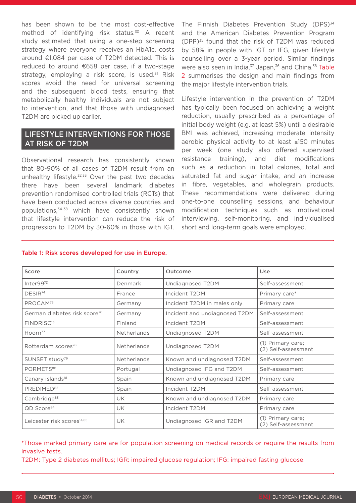has been shown to be the most cost-effective method of identifying risk status.<sup>30</sup> A recent study estimated that using a one-step screening strategy where everyone receives an HbA1c, costs around €1,084 per case of T2DM detected. This is reduced to around €658 per case, if a two-stage strategy, employing a risk score, is used.<sup>31</sup> Risk scores avoid the need for universal screening and the subsequent blood tests, ensuring that metabolically healthy individuals are not subject to intervention, and that those with undiagnosed T2DM are picked up earlier.

## LIFESTYLE INTERVENTIONS FOR THOSE AT RISK OF T2DM

Observational research has consistently shown that 80-90% of all cases of T2DM result from an unhealthy lifestyle. $32,33$  Over the past two decades there have been several landmark diabetes prevention randomised controlled trials (RCTs) that have been conducted across diverse countries and populations,34-38 which have consistently shown that lifestyle intervention can reduce the risk of progression to T2DM by 30-60% in those with IGT.

The Finnish Diabetes Prevention Study (DPS)<sup>34</sup> and the American Diabetes Prevention Program (DPP)35 found that the risk of T2DM was reduced by 58% in people with IGT or IFG, given lifestyle counselling over a 3-year period. Similar findings were also seen in India,<sup>37</sup> Japan,<sup>36</sup> and China.<sup>38</sup> Table 2 summarises the design and main findings from the major lifestyle intervention trials.

Lifestyle intervention in the prevention of T2DM has typically been focused on achieving a weight reduction, usually prescribed as a percentage of initial body weight (e.g. at least 5%) until a desirable BMI was achieved, increasing moderate intensity aerobic physical activity to at least ≥150 minutes per week (one study also offered supervised resistance training), and diet modifications such as a reduction in total calories, total and saturated fat and sugar intake, and an increase in fibre, vegetables, and wholegrain products. These recommendations were delivered during one-to-one counselling sessions, and behaviour modification techniques such as motivational interviewing, self-monitoring, and individualised short and long-term goals were employed.

#### Table 1: Risk scores developed for use in Europe.

| Score                                    | Country            | Use<br>Outcome                |                                          |  |
|------------------------------------------|--------------------|-------------------------------|------------------------------------------|--|
| Inter $99^{73}$                          | Denmark            | Undiagnosed T2DM              | Self-assessment                          |  |
| DESIR <sup>74</sup>                      | France             | Incident T2DM                 | Primary care*                            |  |
| PROCAM <sup>75</sup>                     | Germany            | Incident T2DM in males only   | Primary care                             |  |
| German diabetes risk score <sup>76</sup> | Germany            | Incident and undiagnosed T2DM | Self-assessment                          |  |
| FINDRISC <sup>13</sup>                   | Finland            | Incident T2DM                 | Self-assessment                          |  |
| $Hoorn^{77}$                             | <b>Netherlands</b> | Undiagnosed T2DM              | Self-assessment                          |  |
| Rotterdam scores <sup>78</sup>           | <b>Netherlands</b> | Undiagnosed T2DM              | (1) Primary care;<br>(2) Self-assessment |  |
| SUNSET study <sup>79</sup>               | Netherlands        | Known and undiagnosed T2DM    | Self-assessment                          |  |
| PORMETS <sup>80</sup>                    | Portugal           | Undiagnosed IFG and T2DM      | Self-assessment                          |  |
| Canary islands <sup>81</sup>             | Spain              | Known and undiagnosed T2DM    | Primary care                             |  |
| PREDIMED <sup>82</sup>                   | Spain              | Incident T2DM                 | Self-assessment                          |  |
| Cambridge <sup>83</sup>                  | UK.                | Known and undiagnosed T2DM    | Primary care                             |  |
| QD Score <sup>84</sup>                   | UK.                | Incident T2DM                 | Primary care                             |  |
| Leicester risk scores14,85               | UK.                | Undiagnosed IGR and T2DM      | (1) Primary care;<br>(2) Self-assessment |  |

\*Those marked primary care are for population screening on medical records or require the results from invasive tests.

T2DM: Type 2 diabetes mellitus; IGR: impaired glucose regulation; IFG: impaired fasting glucose.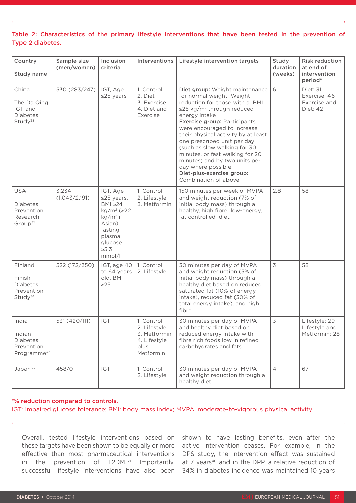### Table 2: Characteristics of the primary lifestyle interventions that have been tested in the prevention of Type 2 diabetes.

| Country<br>Study name                                                          | Sample size<br>(men/women) | Inclusion<br>criteria                                                                                                                                  | Interventions                                                                   | Lifestyle intervention targets                                                                                                                                                                                                                                                                                                                                                                                                                                                    | Study<br>duration<br>(weeks) | <b>Risk reduction</b><br>at end of<br>intervention<br>period* |
|--------------------------------------------------------------------------------|----------------------------|--------------------------------------------------------------------------------------------------------------------------------------------------------|---------------------------------------------------------------------------------|-----------------------------------------------------------------------------------------------------------------------------------------------------------------------------------------------------------------------------------------------------------------------------------------------------------------------------------------------------------------------------------------------------------------------------------------------------------------------------------|------------------------------|---------------------------------------------------------------|
| China<br>The Da Qing<br>IGT and<br><b>Diabetes</b><br>Study <sup>38</sup>      | 530 (283/247)              | IGT, Age<br>$\geq$ 25 years                                                                                                                            | 1. Control<br>2. Diet<br>3. Exercise<br>4. Diet and<br>Exercise                 | Diet group: Weight maintenance<br>for normal weight. Weight<br>reduction for those with a BMI<br>$\geq$ 25 kg/m <sup>2</sup> through reduced<br>energy intake<br>Exercise group: Participants<br>were encouraged to increase<br>their physical activity by at least<br>one prescribed unit per day<br>(such as slow walking for 30<br>minutes, or fast walking for 20<br>minutes) and by two units per<br>day where possible<br>Diet-plus-exercise group:<br>Combination of above | 6                            | Diet: 31<br>Exercise: 46<br>Exercise and<br>Diet: 42          |
| <b>USA</b><br><b>Diabetes</b><br>Prevention<br>Research<br>Group <sup>35</sup> | 3,234<br>(1,043/2,191)     | IGT, Age<br>$\geq$ 25 years,<br>$BMI \geq 24$<br>$kg/m^2$ ( $\geq$ 22<br>$kg/m2$ if<br>Asian),<br>fasting<br>plasma<br>glucose<br>$\geq 5.3$<br>mmol/l | 1. Control<br>2. Lifestyle<br>3. Metformin                                      | 150 minutes per week of MVPA<br>and weight reduction (7% of<br>initial body mass) through a<br>healthy, high fibre, low-energy,<br>fat controlled diet                                                                                                                                                                                                                                                                                                                            | 2.8                          | 58                                                            |
| Finland<br>Finish<br><b>Diabetes</b><br>Prevention<br>Study <sup>34</sup>      | 522 (172/350)              | IGT, age 40<br>to 64 years<br>old, BMI<br>$\geq$ 25                                                                                                    | 1. Control<br>2. Lifestyle                                                      | 30 minutes per day of MVPA<br>and weight reduction (5% of<br>initial body mass) through a<br>healthy diet based on reduced<br>saturated fat (10% of energy<br>intake), reduced fat (30% of<br>total energy intake), and high<br>fibre                                                                                                                                                                                                                                             | 3                            | 58                                                            |
| India<br>Indian<br><b>Diabetes</b><br>Prevention<br>Programme <sup>37</sup>    | 531 (420/111)              | <b>IGT</b>                                                                                                                                             | 1. Control<br>2. Lifestyle<br>3. Metformin<br>4. Lifestyle<br>plus<br>Metformin | 30 minutes per day of MVPA<br>and healthy diet based on<br>reduced energy intake with<br>fibre rich foods low in refined<br>carbohydrates and fats                                                                                                                                                                                                                                                                                                                                | 3                            | Lifestyle: 29<br>Lifestyle and<br>Metformin: 28               |
| Japan <sup>36</sup>                                                            | 458/0                      | IGT                                                                                                                                                    | 1. Control<br>2. Lifestyle                                                      | 30 minutes per day of MVPA<br>and weight reduction through a<br>healthy diet                                                                                                                                                                                                                                                                                                                                                                                                      | $\overline{4}$               | 67                                                            |

#### \*% reduction compared to controls.

IGT: impaired glucose tolerance; BMI: body mass index; MVPA: moderate-to-vigorous physical activity.

Overall, tested lifestyle interventions based on shown to have lasting benefits, even after the these targets have been shown to be equally or more active intervention ceases. For example, in the the the the effective than most pharmaceutical interventions DPS study, the intervention effect was sustained in the prevention of T2DM.<sup>39</sup> Importantly, at 7 years<sup>40</sup> and in the DPP, a relative reduction of

successful lifestyle interventions have also been 34% in diabetes incidence was maintained 10 years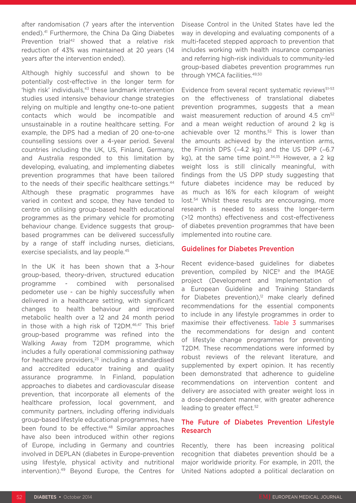after randomisation (7 years after the intervention ended).41 Furthermore, the China Da Qing Diabetes Prevention trial<sup>42</sup> showed that a relative risk reduction of 43% was maintained at 20 years (14 years after the intervention ended).

Although highly successful and shown to be potentially cost-effective in the longer term for 'high risk' individuals,43 these landmark intervention studies used intensive behaviour change strategies relying on multiple and lengthy one-to-one patient contacts which would be incompatible and unsustainable in a routine healthcare setting. For example, the DPS had a median of 20 one-to-one counselling sessions over a 4-year period. Several countries including the UK, US, Finland, Germany, and Australia responded to this limitation by developing, evaluating, and implementing diabetes prevention programmes that have been tailored to the needs of their specific healthcare settings.<sup>44</sup> Although these pragmatic programmes have varied in context and scope, they have tended to centre on utilising group-based health educational programmes as the primary vehicle for promoting behaviour change. Evidence suggests that groupbased programmes can be delivered successfully by a range of staff including nurses, dieticians, exercise specialists, and lay people.45

In the UK it has been shown that a 3-hour group-based, theory-driven, structured education programme - combined with personalised pedometer use - can be highly successfully when delivered in a healthcare setting, with significant changes to health behaviour and improved metabolic health over a 12 and 24 month period in those with a high risk of T2DM.<sup>46,47</sup> This brief group-based programme was refined into the Walking Away from T2DM programme, which includes a fully operational commissioning pathway for healthcare providers,<sup>23</sup> including a standardised and accredited educator training and quality assurance programme. In Finland, population approaches to diabetes and cardiovascular disease prevention, that incorporate all elements of the healthcare profession, local government, and community partners, including offering individuals group-based lifestyle educational programmes, have been found to be effective.<sup>48</sup> Similar approaches have also been introduced within other regions of Europe, including in Germany and countries involved in DEPLAN (diabetes in Europe-prevention using lifestyle, physical activity and nutritional intervention).49 Beyond Europe, the Centres for

Disease Control in the United States have led the way in developing and evaluating components of a multi-faceted stepped approach to prevention that includes working with health insurance companies and referring high-risk individuals to community-led group-based diabetes prevention programmes run through YMCA facilities.49,50

Evidence from several recent systematic reviews<sup>51-53</sup> on the effectiveness of translational diabetes prevention programmes, suggests that a mean waist measurement reduction of around  $4.5 \text{ cm}^{52}$ and a mean weight reduction of around 2 kg is achievable over 12 months.<sup>52</sup> This is lower than the amounts achieved by the intervention arms, the Finnish DPS (∼4.2 kg) and the US DPP (∼6.7 kg), at the same time point. $34,35$  However, a 2 kg weight loss is still clinically meaningful, with findings from the US DPP study suggesting that future diabetes incidence may be reduced by as much as 16% for each kilogram of weight lost.<sup>54</sup> Whilst these results are encouraging, more research is needed to assess the longer-term (>12 months) effectiveness and cost-effectiveness of diabetes prevention programmes that have been implemented into routine care.

#### Guidelines for Diabetes Prevention

Recent evidence-based guidelines for diabetes prevention, compiled by NICE<sup>9</sup> and the IMAGE project (Development and Implementation of a European Guideline and Training Standards for Diabetes prevention), $12$  make clearly defined recommendations for the essential components to include in any lifestyle programmes in order to maximise their effectiveness. Table 3 summarises the recommendations for design and content of lifestyle change programmes for preventing T2DM. These recommendations were informed by robust reviews of the relevant literature, and supplemented by expert opinion. It has recently been demonstrated that adherence to guideline recommendations on intervention content and delivery are associated with greater weight loss in a dose-dependent manner, with greater adherence leading to greater effect.<sup>52</sup>

### The Future of Diabetes Prevention Lifestyle Research

Recently, there has been increasing political recognition that diabetes prevention should be a major worldwide priority. For example, in 2011, the United Nations adopted a political declaration on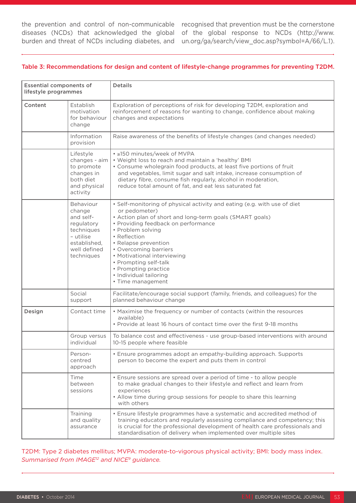diseases (NCDs) that acknowledged the global of the global response to NCDs (http://www. burden and threat of NCDs including diabetes, and

the prevention and control of non-communicable recognised that prevention must be the cornerstone un.org/ga/search/view\_doc.asp?symbol=A/66/L.1).

#### Table 3: Recommendations for design and content of lifestyle-change programmes for preventing T2DM.

| <b>Essential components of</b><br>lifestyle programmes |                                                                                                                         | <b>Details</b>                                                                                                                                                                                                                                                                                                                                                                                                    |  |  |  |
|--------------------------------------------------------|-------------------------------------------------------------------------------------------------------------------------|-------------------------------------------------------------------------------------------------------------------------------------------------------------------------------------------------------------------------------------------------------------------------------------------------------------------------------------------------------------------------------------------------------------------|--|--|--|
| Content                                                | Establish<br>motivation<br>for behaviour<br>change                                                                      | Exploration of perceptions of risk for developing T2DM, exploration and<br>reinforcement of reasons for wanting to change, confidence about making<br>changes and expectations                                                                                                                                                                                                                                    |  |  |  |
|                                                        | Information<br>provision                                                                                                | Raise awareness of the benefits of lifestyle changes (and changes needed)                                                                                                                                                                                                                                                                                                                                         |  |  |  |
|                                                        | Lifestyle<br>changes - aim<br>to promote<br>changes in<br>both diet<br>and physical<br>activity                         | • ≥150 minutes/week of MVPA<br>. Weight loss to reach and maintain a 'healthy' BMI<br>• Consume wholegrain food products, at least five portions of fruit<br>and vegetables, limit sugar and salt intake, increase consumption of<br>dietary fibre, consume fish regularly, alcohol in moderation,<br>reduce total amount of fat, and eat less saturated fat                                                      |  |  |  |
|                                                        | Behaviour<br>change<br>and self-<br>regulatory<br>techniques<br>- utilise<br>established,<br>well defined<br>techniques | · Self-monitoring of physical activity and eating (e.g. with use of diet<br>or pedometer)<br>• Action plan of short and long-term goals (SMART goals)<br>• Providing feedback on performance<br>· Problem solving<br>• Reflection<br>• Relapse prevention<br>• Overcoming barriers<br>• Motivational interviewing<br>• Prompting self-talk<br>• Prompting practice<br>• Individual tailoring<br>• Time management |  |  |  |
|                                                        | Social<br>support                                                                                                       | Facilitate/encourage social support (family, friends, and colleagues) for the<br>planned behaviour change                                                                                                                                                                                                                                                                                                         |  |  |  |
| Design                                                 | Contact time                                                                                                            | • Maximise the frequency or number of contacts (within the resources<br>available)<br>. Provide at least 16 hours of contact time over the first 9-18 months                                                                                                                                                                                                                                                      |  |  |  |
|                                                        | Group versus<br>individual                                                                                              | To balance cost and effectiveness - use group-based interventions with around<br>10-15 people where feasible                                                                                                                                                                                                                                                                                                      |  |  |  |
|                                                        | Person-<br>centred<br>approach                                                                                          | • Ensure programmes adopt an empathy-building approach. Supports<br>person to become the expert and puts them in control                                                                                                                                                                                                                                                                                          |  |  |  |
|                                                        | Time<br>between<br>sessions                                                                                             | • Ensure sessions are spread over a period of time - to allow people<br>to make gradual changes to their lifestyle and reflect and learn from<br>experiences<br>• Allow time during group sessions for people to share this learning<br>with others                                                                                                                                                               |  |  |  |
|                                                        | Training<br>and quality<br>assurance                                                                                    | • Ensure lifestyle programmes have a systematic and accredited method of<br>training educators and regularly assessing compliance and competency; this<br>is crucial for the professional development of health care professionals and<br>standardisation of delivery when implemented over multiple sites                                                                                                        |  |  |  |

T2DM: Type 2 diabetes mellitus; MVPA: moderate-to-vigorous physical activity; BMI: body mass index. *Summarised from IMAGE12 and NICE9 guidance.*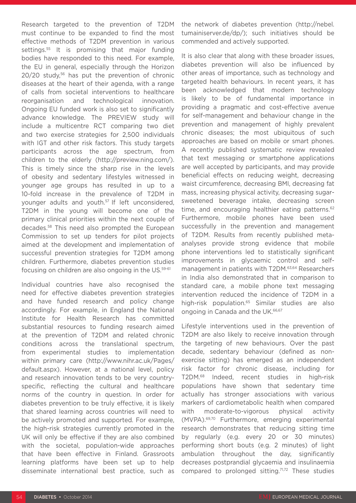Research targeted to the prevention of T2DM must continue to be expanded to find the most effective methods of T2DM prevention in various settings.<sup>55</sup> It is promising that major funding bodies have responded to this need. For example, the EU in general, especially through the Horizon 20/20 study,56 has put the prevention of chronic diseases at the heart of their agenda, with a range of calls from societal interventions to healthcare reorganisation and technological innovation. Ongoing EU funded work is also set to significantly advance knowledge. The PREVIEW study will include a multicentre RCT comparing two diet and two exercise strategies for 2,500 individuals with IGT and other risk factors. This study targets participants across the age spectrum, from children to the elderly (http://preview.ning.com/). This is timely since the sharp rise in the levels of obesity and sedentary lifestyles witnessed in younger age groups has resulted in up to a 10-fold increase in the prevalence of T2DM in younger adults and youth.57 If left unconsidered, T2DM in the young will become one of the primary clinical priorities within the next couple of decades.58 This need also prompted the European Commission to set up tenders for pilot projects aimed at the development and implementation of successful prevention strategies for T2DM among children. Furthermore, diabetes prevention studies focusing on children are also ongoing in the US.<sup>59-61</sup>

Individual countries have also recognised the need for effective diabetes prevention strategies and have funded research and policy change accordingly. For example, in England the National Institute for Health Research has committed substantial resources to funding research aimed at the prevention of T2DM and related chronic conditions across the translational spectrum, from experimental studies to implementation within primary care (http://www.nihr.ac.uk/Pages/ default.aspx). However, at a national level, policy and research innovation tends to be very countryspecific, reflecting the cultural and healthcare norms of the country in question. In order for diabetes prevention to be truly effective, it is likely that shared learning across countries will need to be actively promoted and supported. For example, the high-risk strategies currently promoted in the UK will only be effective if they are also combined with the societal, population-wide approaches that have been effective in Finland. Grassroots learning platforms have been set up to help disseminate international best practice, such as

the network of diabetes prevention (http://nebel. tumainiserver.de/dp/); such initiatives should be commended and actively supported.

It is also clear that along with these broader issues, diabetes prevention will also be influenced by other areas of importance, such as technology and targeted health behaviours. In recent years, it has been acknowledged that modern technology is likely to be of fundamental importance in providing a pragmatic and cost-effective avenue for self-management and behaviour change in the prevention and management of highly prevalent chronic diseases; the most ubiquitous of such approaches are based on mobile or smart phones. A recently published systematic review revealed that text messaging or smartphone applications are well accepted by participants, and may provide beneficial effects on reducing weight, decreasing waist circumference, decreasing BMI, decreasing fat mass, increasing physical activity, decreasing sugarsweetened beverage intake, decreasing screen time, and encouraging healthier eating patterns.<sup>62</sup> Furthermore, mobile phones have been used successfully in the prevention and management of T2DM. Results from recently published metaanalyses provide strong evidence that mobile phone interventions led to statistically significant improvements in glycaemic control and selfmanagement in patients with T2DM.63,64 Researchers in India also demonstrated that in comparison to standard care, a mobile phone text messaging intervention reduced the incidence of T2DM in a high-risk population.<sup>65</sup> Similar studies are also ongoing in Canada and the UK.<sup>66,67</sup>

Lifestyle interventions used in the prevention of T2DM are also likely to receive innovation through the targeting of new behaviours. Over the past decade, sedentary behaviour (defined as nonexercise sitting) has emerged as an independent risk factor for chronic disease, including for T2DM.68 Indeed, recent studies in high-risk populations have shown that sedentary time actually has stronger associations with various markers of cardiometabolic health when compared with moderate-to-vigorous physical activity (MVPA).69,70 Furthermore, emerging experimental research demonstrates that reducing sitting time by regularly (e.g. every 20 or 30 minutes) performing short bouts (e.g. 2 minutes) of light ambulation throughout the day, significantly decreases postprandial glycaemia and insulinaemia compared to prolonged sitting.71,72 These studies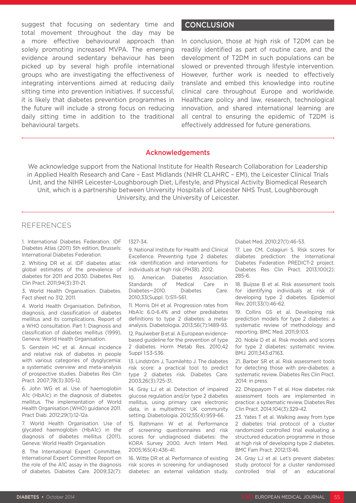suggest that focusing on sedentary time and total movement throughout the day may be a more effective behavioural approach than solely promoting increased MVPA. The emerging evidence around sedentary behaviour has been picked up by several high profile international groups who are investigating the effectiveness of integrating interventions aimed at reducing daily sitting time into prevention initiatives. If successful, it is likely that diabetes prevention programmes in the future will include a strong focus on reducing daily sitting time in addition to the traditional behavioural targets.

### **CONCLUSION**

In conclusion, those at high risk of T2DM can be readily identified as part of routine care, and the development of T2DM in such populations can be slowed or prevented through lifestyle intervention. However, further work is needed to effectively translate and embed this knowledge into routine clinical care throughout Europe and worldwide. Healthcare policy and law, research, technological innovation, and shared international learning are all central to ensuring the epidemic of T2DM is effectively addressed for future generations.

#### Acknowledgements

We acknowledge support from the National Institute for Health Research Collaboration for Leadership in Applied Health Research and Care – East Midlands (NIHR CLAHRC – EM), the Leicester Clinical Trials Unit, and the NIHR Leicester-Loughborough Diet, Lifestyle, and Physical Activity Biomedical Research Unit, which is a partnership between University Hospitals of Leicester NHS Trust, Loughborough University, and the University of Leicester.

### REFERENCES

1. International Diabetes Federation. IDF Diabetes Atlas (2011) 5th edition, Brussels: International Diabetes Federation.

2. Whiting DR et al. IDF diabetes atlas: global estimates of the prevalence of diabetes for 2011 and 2030. Diabetes Res Clin Pract. 2011;94(3):311-21.

3. World Health Organisation. Diabetes. Fact sheet no 312. 2011.

4. World Health Organisation. Definition, diagnosis, and classification of diabetes mellitus and its complications. Report of a WHO consultation. Part 1: Diagnosis and classification of diabetes mellitus (1999), Geneva: World Health Organisation.

5. Gerstein HC et al. Annual incidence and relative risk of diabetes in people with various categories of dysglycemia: a systematic overview and meta-analysis of prospective studies. Diabetes Res Clin Pract. 2007;78(3):305-12.

6. John WG et al. Use of haemoglobin A1c (HbA1c) in the diagnosis of diabetes mellitus. The implementation of World Health Organisation (WHO) guidance 2011. Pract Diab. 2012;29(1):12-12a.

7. World Health Organisation. Use of glycated haemoglobin (HbA1c) in the diagnosis of diabetes mellitus (2011), Geneva: World Health Organisation.

8. The International Expert Committee. International Expert Committee Report on the role of the A1C assay in the diagnosis of diabetes. Diabetes Care. 2009;32(7):

#### 1327-34.

9. National Institute for Health and Clinical Excellence. Preventing type 2 diabetes: risk identification and interventions for individuals at high risk (PH38). 2012.

10. American Diabetes Association. Standards of Medical Care in<br>Diabetes—2010. Diabetes Care. Diabetes-2010. Diabetes 2010;33(Suppl. 1):S11-S61.

11. Morris DH et al. Progression rates from HbA1c 6.0-6.4% and other prediabetes definitions to type 2 diabetes: a metaanalysis. Diabetologia. 2013;56(7):1489-93.

12. Paulweber B et al. A European evidencebased guideline for the prevention of type 2 diabetes. Horm Metab Res. 2010;42 Suppl 1:S3-S36.

13. Lindström J, Tuomilehto J. The diabetes risk score: a practical tool to predict type 2 diabetes risk. Diabetes Care. 2003;26(3):725-31.

14. Gray LJ et al. Detection of impaired glucose regulation and/or type 2 diabetes mellitus, using primary care electronic data, in a multiethnic UK community setting. Diabetologia. 2012;55(4):959-66.

15. Rathmann W et al. Performance of screening questionnaires and risk scores for undiagnosed diabetes: the KORA Survey 2000. Arch Intern Med. 2005;165(4):436-41.

16. Witte DR et al. Performance of existing risk scores in screening for undiagnosed diabetes: an external validation study. Diabet Med. 2010;27(1):46-53.

17. Lee CM, Colagiuri S. Risk scores for diabetes prediction: the International Diabetes Federation PREDICT-2 project. Diabetes Res Clin Pract. 2013;100(2): 285-6.

18. Buijsse B et al. Risk assessment tools for identifying individuals at risk of developing type 2 diabetes. Epidemiol Rev. 2011;33(1):46-62.

19. Collins GS et al. Developing risk prediction models for type 2 diabetes: a systematic review of methodology and reporting. BMC Med. 2011;9:103.

20. Noble D et al. Risk models and scores for type 2 diabetes: systematic review. BMJ. 2011;343:d7163.

21. Barber SR et al. Risk assessment tools for detecting those with pre-diabetes: a systematic review. Diabetes Res Clin Pract. 2014: in press.

22. Dhippayom T et al. How diabetes risk assessment tools are implemented in practice: a systematic review. Diabetes Res Clin Pract. 2014;104(3):329-42.

23. Yates T et al. Walking away from type 2 diabetes: trial protocol of a cluster randomized controlled trial evaluating a structured education programme in those at high risk of developing type 2 diabetes. BMC Fam Pract. 2012;13:46.

24. Gray LJ et al. Let's prevent diabetes: study protocol for a cluster randomised controlled trial of an educational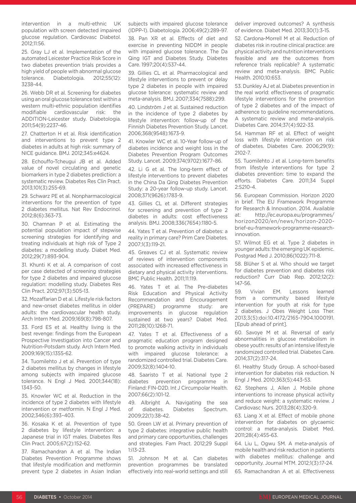intervention in a multi-ethnic UK population with screen detected impaired glucose regulation. Cardiovasc Diabetol. 2012;11:56.

25. Gray LJ et al. Implementation of the automated Leicester Practice Risk Score in two diabetes prevention trials provides a high yield of people with abnormal glucose tolerance. Diabetologia. 2012;55(12): 3238-44.

26. Webb DR et al. Screening for diabetes using an oral glucose tolerance test within a western multi-ethnic population identifies modifiable cardiovascular risk: the ADDITION-Leicester study. Diabetologia. 2011;54(9):2237-46.

27. Chatterton H et al. Risk identification and interventions to prevent type 2 diabetes in adults at high risk: summary of NICE guidance. BMJ. 2012;345:e4624.

28. Echouffo-Tcheugui JB et al. Added value of novel circulating and genetic biomarkers in type 2 diabetes prediction: a systematic review. Diabetes Res Clin Pract. 2013;101(3):255-69.

29. Schwarz PE et al. Nonpharmacological interventions for the prevention of type 2 diabetes mellitus. Nat Rev Endocrinol. 2012;8(6):363-73.

30. Chamnan P et al. Estimating the potential population impact of stepwise screening strategies for identifying and treating individuals at high risk of Type 2 diabetes: a modelling study. Diabet Med. 2012;29(7):893-904.

31. Khunti K et al. A comparison of cost per case detected of screening strategies for type 2 diabetes and impaired glucose regulation: modelling study. Diabetes Res Clin Pract. 2012;97(3):505-13.

32. Mozaffarian D et al. Lifestyle risk factors and new-onset diabetes mellitus in older adults: the cardiovascular health study. Arch Intern Med. 2009;169(8):798-807.

33. Ford ES et al. Healthy living is the best revenge: findings from the European Prospective Investigation into Cancer and Nutrition-Potsdam study. Arch Intern Med. 2009;169(15):1355-62.

34. Tuomilehto J et al. Prevention of type 2 diabetes mellitus by changes in lifestyle among subjects with impaired glucose tolerance. N Engl J Med. 2001;344(18): 1343-50.

35. Knowler WC et al. Reduction in the incidence of type 2 diabetes with lifestyle intervention or metformin. N Engl J Med. 2002;346(6):393–403.

36. Kosaka K et al. Prevention of type 2 diabetes by lifestyle intervention: a Japanese trial in IGT males. Diabetes Res Clin Pract. 2005;67(2):152-62.

37. Ramachandran A et al. The Indian Diabetes Prevention Programme shows that lifestyle modification and metformin prevent type 2 diabetes in Asian Indian

subjects with impaired glucose tolerance (IDPP-1). Diabetologia. 2006;49(2):289-97.

38. Pan XR et al. Effects of diet and exercise in preventing NIDDM in people with impaired glucose tolerance. The Da Qing IGT and Diabetes Study. Diabetes Care. 1997;20(4):537-44.

39. Gillies CL et al. Pharmacological and lifestyle interventions to prevent or delay type 2 diabetes in people with impaired glucose tolerance: systematic review and meta-analysis. BMJ. 2007;334(7588):299.

40. Lindström J et al. Sustained reduction in the incidence of type 2 diabetes by lifestyle intervention: follow-up of the Finnish Diabetes Prevention Study. Lancet. 2006;368(9548):1673-9.

41. Knowler WC et al. 10-Year follow-up of diabetes incidence and weight loss in the Diabetes Prevention Program Outcomes Study. Lancet. 2009;374(9702):1677–86.

42. Li G et al. The long-term effect of lifestyle interventions to prevent diabetes in the China Da Qing Diabetes Prevention Study: a 20-year follow-up study. Lancet. 2008;371(9626):1783-9.

43. Gillies CL et al. Different strategies for screening and prevention of type 2 diabetes in adults: cost effectiveness analysis. BMJ. 2008;336(7654):1180-5.

44. Yates T et al. Prevention of diabetes: a reality in primary care? Prim Care Diabetes. 2007;1(3):119-21.

45. Greaves CJ et al. Systematic review of reviews of intervention components associated with increased effectiveness in dietary and physical activity interventions. BMC Public Health. 2011;11:119.

46. Yates T et al. The Pre-diabetes Risk Education and Physical Activity Recommendation and Encouragement (PREPARE) programme study: are improvements in glucose regulation sustained at two years? Diabet Med. 2011;28(10):1268-71.

47. Yates T et al. Effectiveness of a pragmatic education program designed to promote walking activity in individuals with impaired glucose tolerance: a randomized controlled trial. Diabetes Care. 2009;32(8):1404-10.

48. Saaristo T et al. National type 2 diabetes prevention programme in Finland: FIN-D2D. Int J Circumpolar Health. 2007;66(2):101-12.

49. Albright A. Navigating the sea of diabetes. Diabetes Spectrum. 2009;22(1):38-42.

50. Green LW et al. Primary prevention of type 2 diabetes: integrative public health and primary care opportunities, challenges and strategies. Fam Pract. 2012;29 Suppl 1:i13-23.

51. Johnson M et al. Can diabetes prevention programmes be translated effectively into real-world settings and still deliver improved outcomes? A synthesis of evidence. Diabet Med. 2013;30(1):3-15.

52. Cardona-Morrell M et al. Reduction of diabetes risk in routine clinical practice: are physical activity and nutrition interventions feasible and are the outcomes from reference trials replicable? A systematic review and meta-analysis. BMC Public Health. 2010;10:653.

53. Dunkley AJ et al. Diabetes prevention in the real world: effectiveness of pragmatic lifestyle interventions for the prevention of type 2 diabetes and of the impact of adherence to guideline recommendations. A systematic review and meta-analysis. Diabetes Care. 2014;37(4):922-33.

54. Hamman RF et al. Effect of weight loss with lifestyle intervention on risk of diabetes. Diabetes Care. 2006;29(9): 2102-7.

55. Tuomilehto J et al. Long-term benefits from lifestyle interventions for type 2 diabetes prevention: time to expand the efforts. Diabetes Care. 2011;34 Suppl 2:S210-4.

56. European Commission. Horizon 2020 in brief. The EU Framework Programme for Research & Innovation. 2014. Available at: http://ec.europa.eu/programmes/ horizon2020/en/news/horizon-2020 brief-eu-framework-programme-researchinnovation.

57. Wilmot EG et al. Type 2 diabetes in younger adults: the emerging UK epidemic. Postgrad Med J. 2010;86(1022):711-8.

58. Blüher S et al. Who should we target for diabetes prevention and diabetes risk reduction? Curr Diab Rep. 2012;12(2): 147-56.

59. Vivian EM. Lessons learned from a community based lifestyle intervention for youth at risk for type 2 diabetes. J Obes Weight Loss Ther. 2013;3(5):doi:10.4172/2165-7904.1000191. [Epub ahead of print].

60. Savoye M et al. Reversal of early abnormalities in glucose metabolism in obese youth: results of an intensive lifestyle randomized controlled trial. Diabetes Care. 2014;37(2):317-24.

61. Healthy Study Group. A school-based intervention for diabetes risk reduction. N Engl J Med. 2010;363(5):443-53.

62. Stephens J, Allen J. Mobile phone interventions to increase physical activity and reduce weight: a systematic review. J Cardiovasc Nurs. 2013;28(4):320-9.

63. Liang X et al. Effect of mobile phone intervention for diabetes on glycaemic control: a meta-analysis. Diabet Med. 2011;28(4):455-63.

64. Liu L, Ogwu SM. A meta-analysis of mobile health and risk reduction in patients with diabetes mellitus: challenge and opportunity. Journal MTM. 2012;1(3):17-24.

65. Ramachandran A et al. Effectiveness